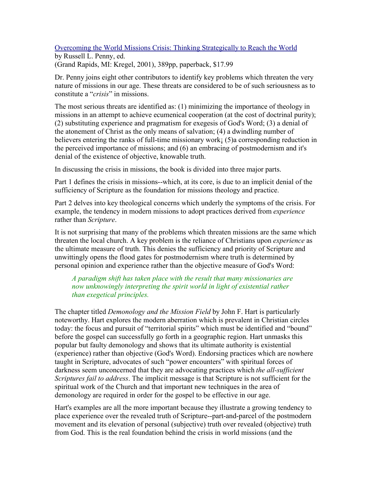## Overcoming the World Missions Crisis: Thinking Strategically to Reach the World

by Russell L. Penny, ed. (Grand Rapids, MI: Kregel, 2001), 389pp, paperback, \$17.99

Dr. Penny joins eight other contributors to identify key problems which threaten the very nature of missions in our age. These threats are considered to be of such seriousness as to constitute a "*crisis*" in missions.

The most serious threats are identified as: (1) minimizing the importance of theology in missions in an attempt to achieve ecumenical cooperation (at the cost of doctrinal purity); (2) substituting experience and pragmatism for exegesis of God's Word; (3) a denial of the atonement of Christ as the only means of salvation; (4) a dwindling number of believers entering the ranks of full-time missionary work; (5) a corresponding reduction in the perceived importance of missions; and (6) an embracing of postmodernism and it's denial of the existence of objective, knowable truth.

In discussing the crisis in missions, the book is divided into three major parts.

Part 1 defines the crisis in missions--which, at its core, is due to an implicit denial of the sufficiency of Scripture as the foundation for missions theology and practice.

Part 2 delves into key theological concerns which underly the symptoms of the crisis. For example, the tendency in modern missions to adopt practices derived from *experience* rather than *Scripture*.

It is not surprising that many of the problems which threaten missions are the same which threaten the local church. A key problem is the reliance of Christians upon *experience* as the ultimate measure of truth. This denies the sufficiency and priority of Scripture and unwittingly opens the flood gates for postmodernism where truth is determined by personal opinion and experience rather than the objective measure of God's Word:

*A paradigm shift has taken place with the result that many missionaries are now unknowingly interpreting the spirit world in light of existential rather than exegetical principles.*

The chapter titled *Demonology and the Mission Field* by John F. Hart is particularly noteworthy. Hart explores the modern aberration which is prevalent in Christian circles today: the focus and pursuit of "territorial spirits" which must be identified and "bound" before the gospel can successfully go forth in a geographic region. Hart unmasks this popular but faulty demonology and shows that its ultimate authority is existential (experience) rather than objective (God's Word). Endorsing practices which are nowhere taught in Scripture, advocates of such "power encounters" with spiritual forces of darkness seem unconcerned that they are advocating practices which *the all-sufficient Scriptures fail to address*. The implicit message is that Scripture is not sufficient for the spiritual work of the Church and that important new techniques in the area of demonology are required in order for the gospel to be effective in our age.

Hart's examples are all the more important because they illustrate a growing tendency to place experience over the revealed truth of Scripture--part-and-parcel of the postmodern movement and its elevation of personal (subjective) truth over revealed (objective) truth from God. This is the real foundation behind the crisis in world missions (and the